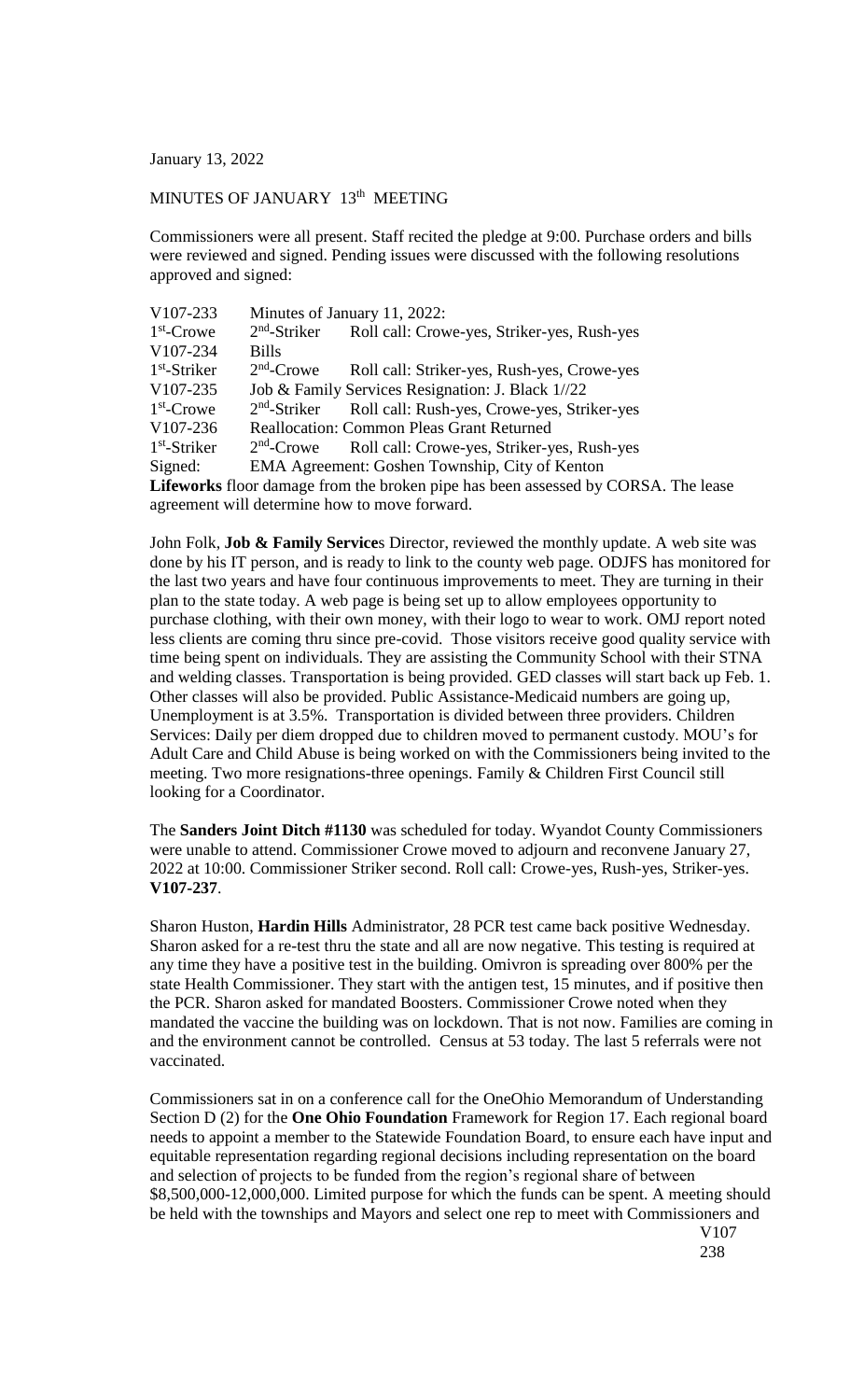January 13, 2022

## MINUTES OF JANUARY 13<sup>th</sup> MEETING

Commissioners were all present. Staff recited the pledge at 9:00. Purchase orders and bills were reviewed and signed. Pending issues were discussed with the following resolutions approved and signed:

| V107-233       |              | Minutes of January 11, 2022:                                                              |
|----------------|--------------|-------------------------------------------------------------------------------------------|
| $1st$ -Crowe   |              | 2 <sup>nd</sup> -Striker Roll call: Crowe-yes, Striker-yes, Rush-yes                      |
| V107-234       | <b>Bills</b> |                                                                                           |
| $1st$ -Striker | $2nd$ -Crowe | Roll call: Striker-yes, Rush-yes, Crowe-yes                                               |
| V107-235       |              | Job & Family Services Resignation: J. Black 1//22                                         |
| $1st$ -Crowe   |              | 2 <sup>nd</sup> -Striker Roll call: Rush-yes, Crowe-yes, Striker-yes                      |
| V107-236       |              | <b>Reallocation: Common Pleas Grant Returned</b>                                          |
| $1st$ -Striker |              | 2 <sup>nd</sup> -Crowe Roll call: Crowe-yes, Striker-yes, Rush-yes                        |
| Signed:        |              | EMA Agreement: Goshen Township, City of Kenton                                            |
|                |              | <b>I</b> ifewarks floor damage from the broken pine hes been assessed by CODRA. The lease |

**Lifeworks** floor damage from the broken pipe has been assessed by CORSA. The lease agreement will determine how to move forward.

John Folk, **Job & Family Service**s Director, reviewed the monthly update. A web site was done by his IT person, and is ready to link to the county web page. ODJFS has monitored for the last two years and have four continuous improvements to meet. They are turning in their plan to the state today. A web page is being set up to allow employees opportunity to purchase clothing, with their own money, with their logo to wear to work. OMJ report noted less clients are coming thru since pre-covid. Those visitors receive good quality service with time being spent on individuals. They are assisting the Community School with their STNA and welding classes. Transportation is being provided. GED classes will start back up Feb. 1. Other classes will also be provided. Public Assistance-Medicaid numbers are going up, Unemployment is at 3.5%. Transportation is divided between three providers. Children Services: Daily per diem dropped due to children moved to permanent custody. MOU's for Adult Care and Child Abuse is being worked on with the Commissioners being invited to the meeting. Two more resignations-three openings. Family & Children First Council still looking for a Coordinator.

The **Sanders Joint Ditch #1130** was scheduled for today. Wyandot County Commissioners were unable to attend. Commissioner Crowe moved to adjourn and reconvene January 27, 2022 at 10:00. Commissioner Striker second. Roll call: Crowe-yes, Rush-yes, Striker-yes. **V107-237**.

Sharon Huston, **Hardin Hills** Administrator, 28 PCR test came back positive Wednesday. Sharon asked for a re-test thru the state and all are now negative. This testing is required at any time they have a positive test in the building. Omivron is spreading over 800% per the state Health Commissioner. They start with the antigen test, 15 minutes, and if positive then the PCR. Sharon asked for mandated Boosters. Commissioner Crowe noted when they mandated the vaccine the building was on lockdown. That is not now. Families are coming in and the environment cannot be controlled. Census at 53 today. The last 5 referrals were not vaccinated.

Commissioners sat in on a conference call for the OneOhio Memorandum of Understanding Section D (2) for the **One Ohio Foundation** Framework for Region 17. Each regional board needs to appoint a member to the Statewide Foundation Board, to ensure each have input and equitable representation regarding regional decisions including representation on the board and selection of projects to be funded from the region's regional share of between \$8,500,000-12,000,000. Limited purpose for which the funds can be spent. A meeting should be held with the townships and Mayors and select one rep to meet with Commissioners and

V107 238